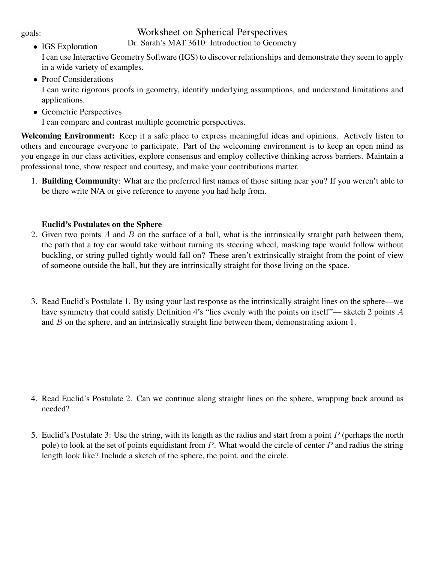#### goals:

# Worksheet on Spherical Perspectives

Dr. Sarah's MAT 3610: Introduction to Geometry

- IGS Exploration I can use Interactive Geometry Software (IGS) to discover relationships and demonstrate they seem to apply in a wide variety of examples.
- Proof Considerations I can write rigorous proofs in geometry, identify underlying assumptions, and understand limitations and applications.
- Geometric Perspectives I can compare and contrast multiple geometric perspectives.

Welcoming Environment: Keep it a safe place to express meaningful ideas and opinions. Actively listen to others and encourage everyone to participate. Part of the welcoming environment is to keep an open mind as you engage in our class activities, explore consensus and employ collective thinking across barriers. Maintain a professional tone, show respect and courtesy, and make your contributions matter.

1. Building Community: What are the preferred first names of those sitting near you? If you weren't able to be there write N/A or give reference to anyone you had help from.

## Euclid's Postulates on the Sphere

- 2. Given two points  $A$  and  $B$  on the surface of a ball, what is the intrinsically straight path between them, the path that a toy car would take without turning its steering wheel, masking tape would follow without buckling, or string pulled tightly would fall on? These aren't extrinsically straight from the point of view of someone outside the ball, but they are intrinsically straight for those living on the space.
- 3. Read Euclid's Postulate 1. By using your last response as the intrinsically straight lines on the sphere—we have symmetry that could satisfy Definition 4's "lies evenly with the points on itself"— sketch 2 points A and B on the sphere, and an intrinsically straight line between them, demonstrating axiom 1.

- 4. Read Euclid's Postulate 2. Can we continue along straight lines on the sphere, wrapping back around as needed?
- 5. Euclid's Postulate 3: Use the string, with its length as the radius and start from a point  $P$  (perhaps the north pole) to look at the set of points equidistant from  $P$ . What would the circle of center  $P$  and radius the string length look like? Include a sketch of the sphere, the point, and the circle.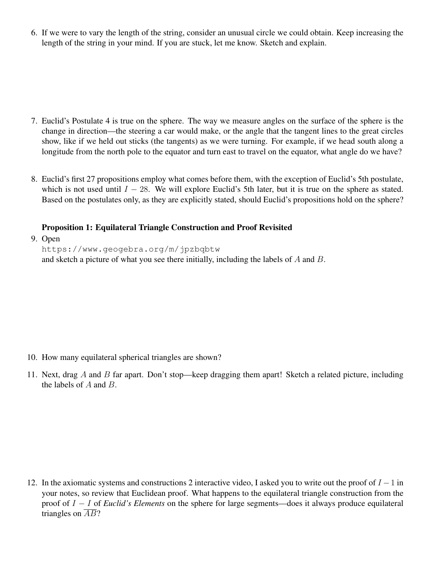6. If we were to vary the length of the string, consider an unusual circle we could obtain. Keep increasing the length of the string in your mind. If you are stuck, let me know. Sketch and explain.

- 7. Euclid's Postulate 4 is true on the sphere. The way we measure angles on the surface of the sphere is the change in direction—the steering a car would make, or the angle that the tangent lines to the great circles show, like if we held out sticks (the tangents) as we were turning. For example, if we head south along a longitude from the north pole to the equator and turn east to travel on the equator, what angle do we have?
- 8. Euclid's first 27 propositions employ what comes before them, with the exception of Euclid's 5th postulate, which is not used until  $I - 28$ . We will explore Euclid's 5th later, but it is true on the sphere as stated. Based on the postulates only, as they are explicitly stated, should Euclid's propositions hold on the sphere?

## Proposition 1: Equilateral Triangle Construction and Proof Revisited

9. Open

https://www.geogebra.org/m/jpzbqbtw and sketch a picture of what you see there initially, including the labels of A and B.

- 10. How many equilateral spherical triangles are shown?
- 11. Next, drag A and B far apart. Don't stop—keep dragging them apart! Sketch a related picture, including the labels of A and B.

12. In the axiomatic systems and constructions 2 interactive video, I asked you to write out the proof of  $I - 1$  in your notes, so review that Euclidean proof. What happens to the equilateral triangle construction from the proof of I − I of *Euclid's Elements* on the sphere for large segments—does it always produce equilateral triangles on  $\overline{AB}$ ?